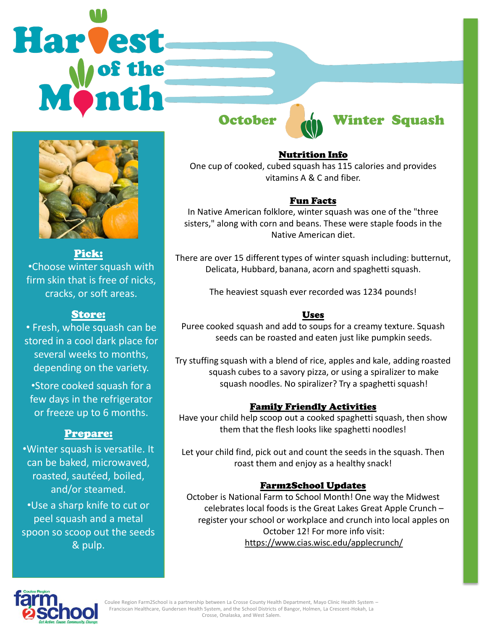# Harvest



Pick: •Choose winter squash with firm skin that is free of nicks, cracks, or soft areas.

## Store:

• Fresh, whole squash can be stored in a cool dark place for several weeks to months, depending on the variety.

•Store cooked squash for a few days in the refrigerator or freeze up to 6 months.

## Prepare:

•Winter squash is versatile. It can be baked, microwaved, roasted, sautéed, boiled, and/or steamed.

•Use a sharp knife to cut or peel squash and a metal spoon so scoop out the seeds & pulp.



### Nutrition Info

One cup of cooked, cubed squash has 115 calories and provides vitamins A & C and fiber.

### Fun Facts

In Native American folklore, winter squash was one of the "three sisters," along with corn and beans. These were staple foods in the Native American diet.

There are over 15 different types of winter squash including: butternut, Delicata, Hubbard, banana, acorn and spaghetti squash.

The heaviest squash ever recorded was 1234 pounds!

### Uses

Puree cooked squash and add to soups for a creamy texture. Squash seeds can be roasted and eaten just like pumpkin seeds.

Try stuffing squash with a blend of rice, apples and kale, adding roasted squash cubes to a savory pizza, or using a spiralizer to make squash noodles. No spiralizer? Try a spaghetti squash!

### Family Friendly Activities

Have your child help scoop out a cooked spaghetti squash, then show them that the flesh looks like spaghetti noodles!

Let your child find, pick out and count the seeds in the squash. Then roast them and enjoy as a healthy snack!

### Farm2School Updates

October is National Farm to School Month! One way the Midwest celebrates local foods is the Great Lakes Great Apple Crunch – register your school or workplace and crunch into local apples on October 12! For more info visit: https://www.cias.wisc.edu/applecrunch/